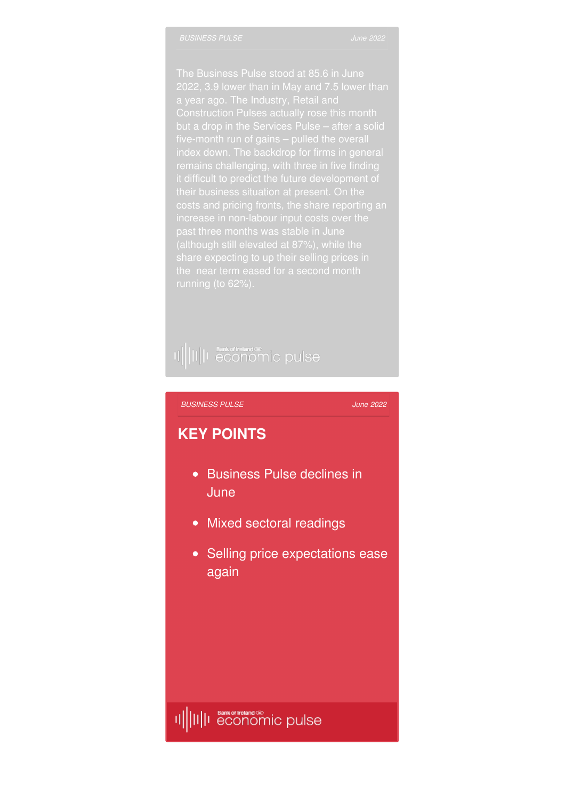a year ago. The Industry, Retail and costs and pricing fronts, the share reporting an past three months was stable in June share expecting to up their selling prices in

# II||II||I **Sunk of Indian** C pulse

### *[BUSINESS](http://www.bankofirelandeconomicpulse.com/business/#overview) PULSE*

*June 2022*

### **KEY POINTS**

- Business Pulse declines in **June**
- Mixed sectoral readings
- Selling price expectations ease again

##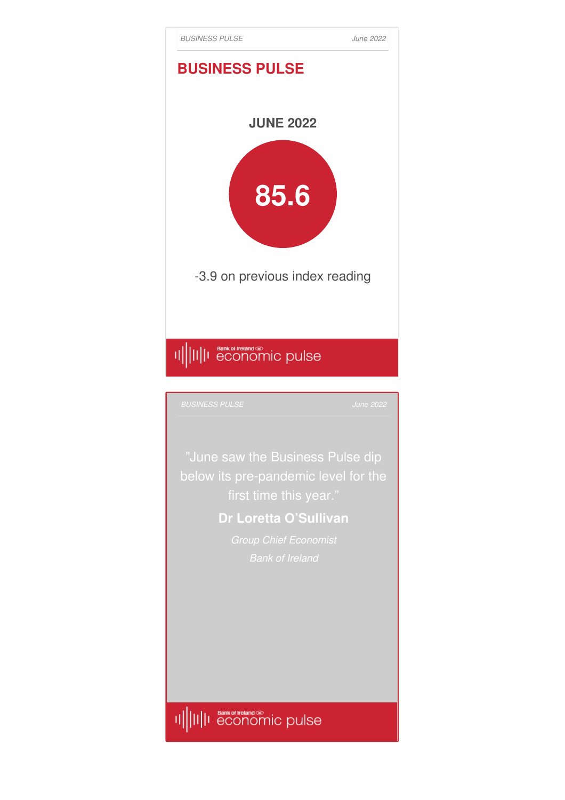